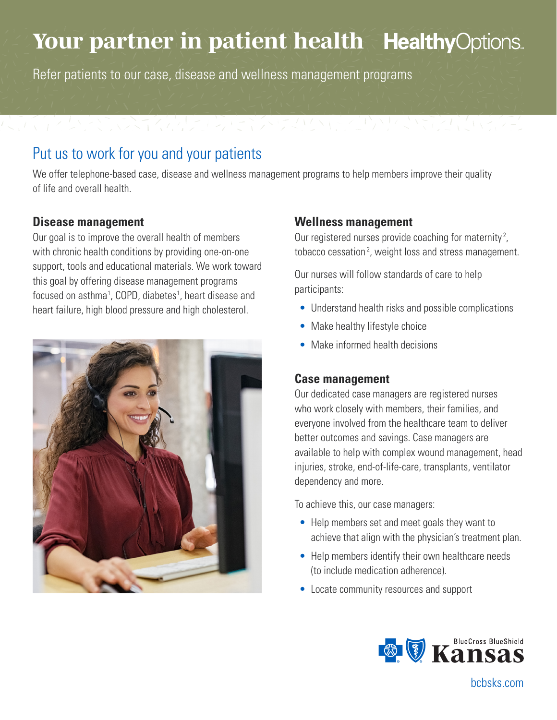# Your partner in patient health HealthyOptions.

Refer patients to our case, disease and wellness management programs

### Put us to work for you and your patients

We offer telephone-based case, disease and wellness management programs to help members improve their quality of life and overall health.

#### **Disease management**

Our goal is to improve the overall health of members with chronic health conditions by providing one-on-one support, tools and educational materials. We work toward this goal by offering disease management programs focused on asthma<sup>1</sup>, COPD, diabetes<sup>1</sup>, heart disease and heart failure, high blood pressure and high cholesterol.



#### **Wellness management**

Our registered nurses provide coaching for maternity<sup>2</sup>, tobacco cessation<sup>2</sup>, weight loss and stress management.

Our nurses will follow standards of care to help participants:

- Understand health risks and possible complications
- Make healthy lifestyle choice
- Make informed health decisions

#### **Case management**

Our dedicated case managers are registered nurses who work closely with members, their families, and everyone involved from the healthcare team to deliver better outcomes and savings. Case managers are available to help with complex wound management, head injuries, stroke, end-of-life-care, transplants, ventilator dependency and more.

To achieve this, our case managers:

- Help members set and meet goals they want to achieve that align with the physician's treatment plan.
- Help members identify their own healthcare needs (to include medication adherence).
- Locate community resources and support



bcbsks.com